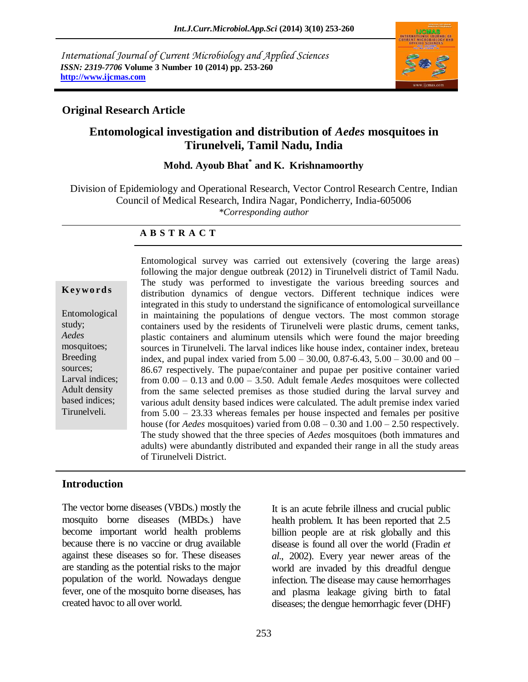*International Journal of Current Microbiology and Applied Sciences ISSN: 2319-7706* **Volume 3 Number 10 (2014) pp. 253-260 http://www.ijcmas.com**



#### **Original Research Article**

### **Entomological investigation and distribution of** *Aedes* **mosquitoes in Tirunelveli, Tamil Nadu, India**

# **Mohd. Ayoub Bhat\* and K. Krishnamoorthy**

Division of Epidemiology and Operational Research, Vector Control Research Centre, Indian Council of Medical Research, Indira Nagar, Pondicherry, India-605006 *\*Corresponding author*

#### **A B S T R A C T**

#### **K ey w o rd s**

Entomological study; *Aedes* mosquitoes; Breeding sources; Larval indices; Adult density based indices; Tirunelveli.

Entomological survey was carried out extensively (covering the large areas) following the major dengue outbreak (2012) in Tirunelveli district of Tamil Nadu. The study was performed to investigate the various breeding sources and distribution dynamics of dengue vectors. Different technique indices were integrated in this study to understand the significance of entomological surveillance in maintaining the populations of dengue vectors. The most common storage containers used by the residents of Tirunelveli were plastic drums, cement tanks, plastic containers and aluminum utensils which were found the major breeding sources in Tirunelveli. The larval indices like house index, container index, breteau index, and pupal index varied from 5.00 – 30.00, 0.87-6.43, 5.00 – 30.00 and 00 – 86.67 respectively. The pupae/container and pupae per positive container varied from 0.00 – 0.13 and 0.00 – 3.50. Adult female *Aedes* mosquitoes were collected from the same selected premises as those studied during the larval survey and various adult density based indices were calculated. The adult premise index varied from 5.00 – 23.33 whereas females per house inspected and females per positive house (for *Aedes* mosquitoes) varied from 0.08 – 0.30 and 1.00 – 2.50 respectively. The study showed that the three species of *Aedes* mosquitoes (both immatures and adults) were abundantly distributed and expanded their range in all the study areas of Tirunelveli District.

#### **Introduction**

The vector borne diseases (VBDs.) mostly the mosquito borne diseases (MBDs.) have become important world health problems because there is no vaccine or drug available against these diseases so for. These diseases are standing as the potential risks to the major population of the world. Nowadays dengue fever, one of the mosquito borne diseases, has created havoc to all over world.

It is an acute febrile illness and crucial public health problem. It has been reported that 2.5 billion people are at risk globally and this disease is found all over the world (Fradin *et al*., 2002). Every year newer areas of the world are invaded by this dreadful dengue infection. The disease may cause hemorrhages and plasma leakage giving birth to fatal diseases; the dengue hemorrhagic fever (DHF)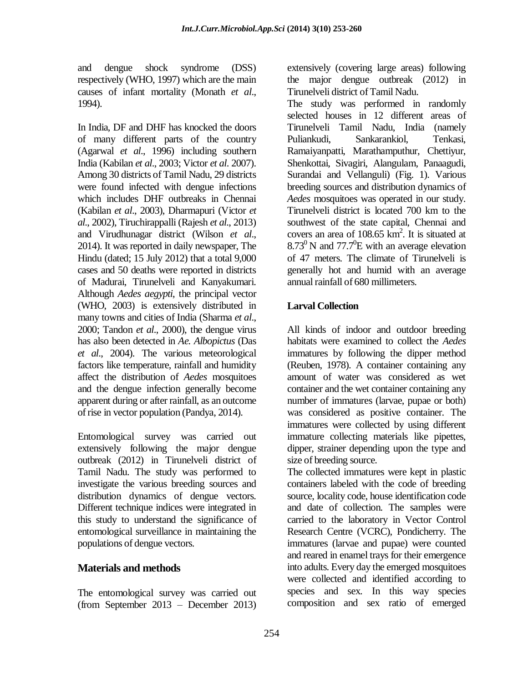and dengue shock syndrome (DSS) respectively (WHO, 1997) which are the main causes of infant mortality (Monath *et al*., 1994).

In India, DF and DHF has knocked the doors of many different parts of the country (Agarwal *et al*., 1996) including southern India (Kabilan *et al*., 2003; Victor *et al*. 2007). Among 30 districts of Tamil Nadu, 29 districts were found infected with dengue infections which includes DHF outbreaks in Chennai (Kabilan *et al*., 2003), Dharmapuri (Victor *et al*., 2002), Tiruchirappalli (Rajesh *et al*., 2013) and Virudhunagar district (Wilson *et al*., 2014). It was reported in daily newspaper, The Hindu (dated; 15 July 2012) that a total 9,000 cases and 50 deaths were reported in districts of Madurai, Tirunelveli and Kanyakumari. Although *Aedes aegypti*, the principal vector (WHO, 2003) is extensively distributed in many towns and cities of India (Sharma *et al*., 2000; Tandon *et al*., 2000), the dengue virus has also been detected in *Ae. Albopictus* (Das *et al*., 2004). The various meteorological factors like temperature, rainfall and humidity affect the distribution of *Aedes* mosquitoes and the dengue infection generally become apparent during or after rainfall, as an outcome of rise in vector population (Pandya, 2014).

Entomological survey was carried out extensively following the major dengue outbreak (2012) in Tirunelveli district of Tamil Nadu. The study was performed to investigate the various breeding sources and distribution dynamics of dengue vectors. Different technique indices were integrated in this study to understand the significance of entomological surveillance in maintaining the populations of dengue vectors.

### **Materials and methods**

The entomological survey was carried out (from September 2013 – December 2013) extensively (covering large areas) following the major dengue outbreak (2012) in Tirunelveli district of Tamil Nadu.

The study was performed in randomly selected houses in 12 different areas of Tirunelveli Tamil Nadu, India (namely Puliankudi, Sankarankiol, Tenkasi, Ramaiyanpatti, Marathamputhur, Chettiyur, Shenkottai, Sivagiri, Alangulam, Panaagudi, Surandai and Vellanguli) (Fig. 1). Various breeding sources and distribution dynamics of *Aedes* mosquitoes was operated in our study. Tirunelveli district is located 700 km to the southwest of the state capital, Chennai and covers an area of  $108.65 \text{ km}^2$ . It is situated at  $8.73^{\circ}$  N and  $77.7^{\circ}$ E with an average elevation of 47 meters. The climate of Tirunelveli is generally hot and humid with an average annual rainfall of 680 millimeters.

### **Larval Collection**

All kinds of indoor and outdoor breeding habitats were examined to collect the *Aedes* immatures by following the dipper method (Reuben, 1978). A container containing any amount of water was considered as wet container and the wet container containing any number of immatures (larvae, pupae or both) was considered as positive container. The immatures were collected by using different immature collecting materials like pipettes, dipper, strainer depending upon the type and size of breeding source.

The collected immatures were kept in plastic containers labeled with the code of breeding source, locality code, house identification code and date of collection. The samples were carried to the laboratory in Vector Control Research Centre (VCRC), Pondicherry. The immatures (larvae and pupae) were counted and reared in enamel trays for their emergence into adults. Every day the emerged mosquitoes were collected and identified according to species and sex. In this way species composition and sex ratio of emerged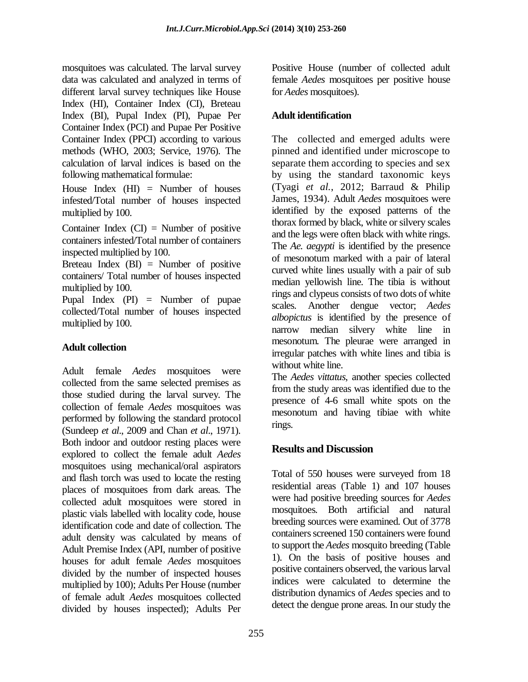mosquitoes was calculated. The larval survey data was calculated and analyzed in terms of different larval survey techniques like House Index (HI), Container Index (CI), Breteau Index (BI), Pupal Index (PI), Pupae Per Container Index (PCI) and Pupae Per Positive Container Index (PPCI) according to various methods (WHO, 2003; Service, 1976). The calculation of larval indices is based on the following mathematical formulae:

House Index  $(HI)$  = Number of houses infested/Total number of houses inspected multiplied by 100.

Container Index  $(CI)$  = Number of positive containers infested/Total number of containers inspected multiplied by 100.

Breteau Index  $(BI) =$  Number of positive containers/ Total number of houses inspected multiplied by 100.

Pupal Index (PI) = Number of pupae collected/Total number of houses inspected multiplied by 100.

# **Adult collection**

Adult female *Aedes* mosquitoes were collected from the same selected premises as those studied during the larval survey. The collection of female *Aedes* mosquitoes was performed by following the standard protocol (Sundeep *et al*., 2009 and Chan *et al*., 1971). Both indoor and outdoor resting places were explored to collect the female adult *Aedes* mosquitoes using mechanical/oral aspirators and flash torch was used to locate the resting places of mosquitoes from dark areas. The collected adult mosquitoes were stored in plastic vials labelled with locality code, house identification code and date of collection. The adult density was calculated by means of Adult Premise Index (API, number of positive houses for adult female *Aedes* mosquitoes divided by the number of inspected houses multiplied by 100); Adults Per House (number of female adult *Aedes* mosquitoes collected divided by houses inspected); Adults Per Positive House (number of collected adult female *Aedes* mosquitoes per positive house for *Aedes* mosquitoes).

#### **Adult identification**

The collected and emerged adults were pinned and identified under microscope to separate them according to species and sex by using the standard taxonomic keys (Tyagi *et al.*, 2012; Barraud & Philip James, 1934). Adult *Aedes* mosquitoes were identified by the exposed patterns of the thorax formed by black, white or silvery scales and the legs were often black with white rings. The *Ae. aegypti* is identified by the presence of mesonotum marked with a pair of lateral curved white lines usually with a pair of sub median yellowish line. The tibia is without rings and clypeus consists of two dots of white scales. Another dengue vector; *Aedes albopictus* is identified by the presence of narrow median silvery white line in mesonotum. The pleurae were arranged in irregular patches with white lines and tibia is without white line.

The *Aedes vittatus*, another species collected from the study areas was identified due to the presence of 4-6 small white spots on the mesonotum and having tibiae with white rings.

# **Results and Discussion**

Total of 550 houses were surveyed from 18 residential areas (Table 1) and 107 houses were had positive breeding sources for *Aedes* mosquitoes. Both artificial and natural breeding sources were examined. Out of 3778 containers screened 150 containers were found to support the *Aedes* mosquito breeding (Table 1). On the basis of positive houses and positive containers observed, the various larval indices were calculated to determine the distribution dynamics of *Aedes* species and to detect the dengue prone areas. In our study the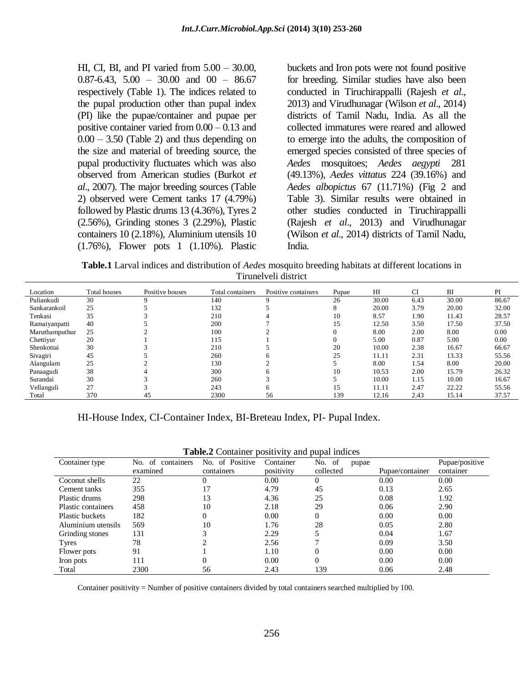HI, CI, BI, and PI varied from 5.00 – 30.00,  $0.87-6.43$ ,  $5.00 - 30.00$  and  $00 - 86.67$ respectively (Table 1). The indices related to the pupal production other than pupal index (PI) like the pupae/container and pupae per positive container varied from 0.00 – 0.13 and  $0.00 - 3.50$  (Table 2) and thus depending on the size and material of breeding source, the pupal productivity fluctuates which was also observed from American studies (Burkot *et al*., 2007). The major breeding sources (Table 2) observed were Cement tanks 17 (4.79%) followed by Plastic drums 13 (4.36%), Tyres 2 (2.56%), Grinding stones 3 (2.29%), Plastic containers 10 (2.18%), Aluminium utensils 10 (1.76%), Flower pots 1 (1.10%). Plastic

buckets and Iron pots were not found positive for breeding. Similar studies have also been conducted in Tiruchirappalli (Rajesh *et al*., 2013) and Virudhunagar (Wilson *et al*., 2014) districts of Tamil Nadu, India. As all the collected immatures were reared and allowed to emerge into the adults, the composition of emerged species consisted of three species of *Aedes* mosquitoes; *Aedes aegypti* 281 (49.13%), *Aedes vittatus* 224 (39.16%) and *Aedes albopictus* 67 (11.71%) (Fig 2 and Table 3). Similar results were obtained in other studies conducted in Tiruchirappalli (Rajesh *et al*., 2013) and Virudhunagar (Wilson *et al*., 2014) districts of Tamil Nadu, India.

**Table.1** Larval indices and distribution of *Aedes* mosquito breeding habitats at different locations in Tirunelveli district

| Location       | Total houses | Positive houses | Total containers | Positive containers | Pupae    | H <sub>I</sub> | <b>CI</b> | BI    | PI    |
|----------------|--------------|-----------------|------------------|---------------------|----------|----------------|-----------|-------|-------|
| Puliankudi     | 30           | $\Omega$        | 140              | Q                   | 26       | 30.00          | 6.43      | 30.00 | 86.67 |
| Sankarankoil   | 25           |                 | 132              |                     | Δ        | 20.00          | 3.79      | 20.00 | 32.00 |
| Tenkasi        | 35           |                 | 210              |                     | 10       | 8.57           | 1.90      | 11.43 | 28.57 |
| Ramaiyanpatti  | 40           |                 | 200              |                     | 15       | 12.50          | 3.50      | 17.50 | 37.50 |
| Maruthamputhur | 25           |                 | 100              |                     | $\Omega$ | 8.00           | 2.00      | 8.00  | 0.00  |
| Chettiyur      | 20           |                 | 115              |                     | 0        | 5.00           | 0.87      | 5.00  | 0.00  |
| Shenkottai     | 30           |                 | 210              |                     | 20       | 10.00          | 2.38      | 16.67 | 66.67 |
| Sivagiri       | 45           |                 | 260              | h                   | 25       | 11.11          | 2.31      | 13.33 | 55.56 |
| Alangulam      | 25           |                 | 130              |                     |          | 8.00           | 1.54      | 8.00  | 20.00 |
| Panaagudi      | 38           |                 | 300              | n                   | 10       | 10.53          | 2.00      | 15.79 | 26.32 |
| Surandai       | 30           |                 | 260              |                     |          | 10.00          | 1.15      | 10.00 | 16.67 |
| Vellanguli     | 27           |                 | 243              | h.                  | 15       | 11.11          | 2.47      | 22.22 | 55.56 |
| Total          | 370          | 45              | 2300             | 56                  | 139      | 12.16          | 2.43      | 15.14 | 37.57 |

HI-House Index, CI-Container Index, BI-Breteau Index, PI- Pupal Index.

| <b>rapic.</b> Container positivity and pupar indices |                 |            |                 |                 |                |  |  |
|------------------------------------------------------|-----------------|------------|-----------------|-----------------|----------------|--|--|
| No. of<br>containers                                 | No. of Positive | Container  | No. of<br>pupae |                 | Pupae/positive |  |  |
| examined                                             | containers      | positivity | collected       | Pupae/container | container      |  |  |
| 22                                                   |                 | 0.00       |                 | 0.00            | 0.00           |  |  |
| 355                                                  |                 | 4.79       | 45              | 0.13            | 2.65           |  |  |
| 298                                                  | 13              | 4.36       | 25              | 0.08            | 1.92           |  |  |
| 458                                                  | 10              | 2.18       | 29              | 0.06            | 2.90           |  |  |
| 182                                                  | 0               | 0.00       |                 | 0.00            | 0.00           |  |  |
| 569                                                  | 10              | 1.76       | 28              | 0.05            | 2.80           |  |  |
| 131                                                  |                 | 2.29       |                 | 0.04            | 1.67           |  |  |
| 78                                                   |                 | 2.56       |                 | 0.09            | 3.50           |  |  |
| 91                                                   |                 | 1.10       |                 | 0.00            | 0.00           |  |  |
| 111                                                  |                 | 0.00       |                 | 0.00            | 0.00           |  |  |
| 2300                                                 | 56              | 2.43       | 139             | 0.06            | 2.48           |  |  |
|                                                      |                 |            |                 |                 |                |  |  |

**Table.2** Container positivity and pupal indices

Container positivity = Number of positive containers divided by total containers searched multiplied by 100.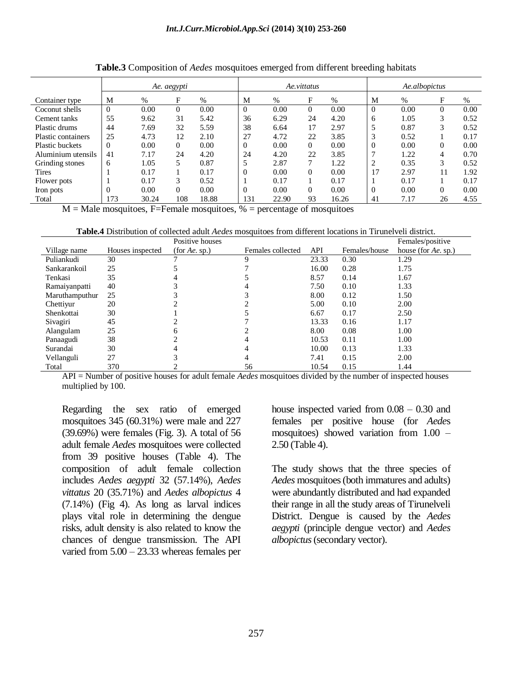|                        | Ae. aegypti |       |          | Ae.vittatus |          |       | Ae.albopictus |               |            |      |                |      |
|------------------------|-------------|-------|----------|-------------|----------|-------|---------------|---------------|------------|------|----------------|------|
| Container type         | M           | $\%$  | F        | $\%$        | M        | %     | F             | $\frac{0}{0}$ | М          | $\%$ | F              | $\%$ |
| Coconut shells         | $\Omega$    | 0.00  | $\theta$ | 0.00        | $\Omega$ | 0.00  | $\Omega$      | 0.00          |            | 0.00 | $\overline{0}$ | 0.00 |
| Cement tanks           | 55          | 9.62  | 31       | 5.42        | 36       | 6.29  | 24            | 4.20          | 6          | 1.05 | 3              | 0.52 |
| Plastic drums          | 44          | 7.69  | 32       | 5.59        | 38       | 6.64  | 17            | 2.97          |            | 0.87 | 3              | 0.52 |
| Plastic containers     | 25          | 4.73  | 12       | 2.10        | 27       | 4.72  | 22            | 3.85          | $\sqrt{2}$ | 0.52 |                | 0.17 |
| <b>Plastic buckets</b> | $\Omega$    | 0.00  | $\Omega$ | 0.00        | $\Omega$ | 0.00  | $\Omega$      | 0.00          |            | 0.00 | $\Omega$       | 0.00 |
| Aluminium utensils     | 41          | 7.17  | 24       | 4.20        | 24       | 4.20  | 22            | 3.85          |            | 1.22 | 4              | 0.70 |
| Grinding stones        | 6           | l.05  | 5        | 0.87        |          | 2.87  | ⇁             | 1.22          |            | 0.35 | 3              | 0.52 |
| Tires                  |             | 0.17  |          | 0.17        | $\Omega$ | 0.00  | $\Omega$      | 0.00          | 17         | 2.97 | 11             | 1.92 |
| Flower pots            |             | 0.17  | 3        | 0.52        |          | 0.17  |               | 0.17          |            | 0.17 |                | 0.17 |
| Iron pots              |             | 0.00  | $\Omega$ | 0.00        | $\Omega$ | 0.00  | $\Omega$      | 0.00          |            | 0.00 | $\Omega$       | 0.00 |
| Total                  | 173         | 30.24 | 108      | 18.88       | 131      | 22.90 | 93            | 16.26         | 41         | 7.17 | 26             | 4.55 |

**Table.3** Composition of *Aedes* mosquitoes emerged from different breeding habitats

 $M = Male$  mosquitoes, F=Female mosquitoes,  $%$  = percentage of mosquitoes

|                |                  | Positive houses |                   |       |               | Females/positive    |
|----------------|------------------|-----------------|-------------------|-------|---------------|---------------------|
| Village name   | Houses inspected | (for Ae, sp.)   | Females collected | API   | Females/house | house (for Ae. sp.) |
| Puliankudi     | 30               |                 |                   | 23.33 | 0.30          | 1.29                |
| Sankarankoil   | 25               |                 |                   | 16.00 | 0.28          | 1.75                |
| Tenkasi        | 35               |                 |                   | 8.57  | 0.14          | 1.67                |
| Ramaiyanpatti  | 40               |                 |                   | 7.50  | 0.10          | 1.33                |
| Maruthamputhur | 25               |                 |                   | 8.00  | 0.12          | 1.50                |
| Chettiyur      | 20               |                 |                   | 5.00  | 0.10          | 2.00                |
| Shenkottai     | 30               |                 |                   | 6.67  | 0.17          | 2.50                |
| Sivagiri       | 45               |                 |                   | 13.33 | 0.16          | 1.17                |
| Alangulam      | 25               |                 |                   | 8.00  | 0.08          | 1.00                |
| Panaagudi      | 38               |                 |                   | 10.53 | 0.11          | 1.00                |
| Surandai       | 30               |                 |                   | 10.00 | 0.13          | 1.33                |
| Vellanguli     | 27               |                 |                   | 7.41  | 0.15          | 2.00                |
| Total          | 370              |                 | 56                | 10.54 | 0.15          | 1.44                |

API = Number of positive houses for adult female *Aedes* mosquitoes divided by the number of inspected houses multiplied by 100.

Regarding the sex ratio of emerged mosquitoes 345 (60.31%) were male and 227 (39.69%) were females (Fig. 3). A total of 56 adult female *Aedes* mosquitoes were collected from 39 positive houses (Table 4). The composition of adult female collection includes *Aedes aegypti* 32 (57.14%), *Aedes vittatus* 20 (35.71%) and *Aedes albopictus* 4 (7.14%) (Fig 4). As long as larval indices plays vital role in determining the dengue risks, adult density is also related to know the chances of dengue transmission. The API varied from 5.00 – 23.33 whereas females per house inspected varied from 0.08 – 0.30 and females per positive house (for *Aede*s mosquitoes) showed variation from 1.00 – 2.50 (Table 4).

The study shows that the three species of *Aedes* mosquitoes (both immatures and adults) were abundantly distributed and had expanded their range in all the study areas of Tirunelveli District. Dengue is caused by the *Aedes aegypti* (principle dengue vector) and *Aedes albopictus*(secondary vector).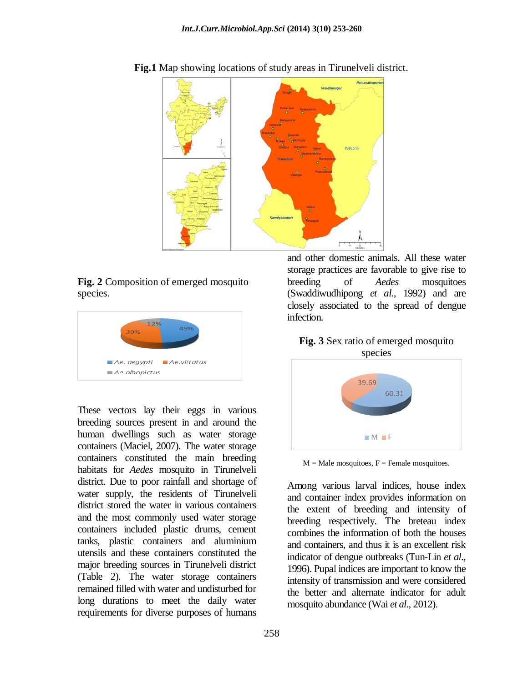

**Fig.1** Map showing locations of study areas in Tirunelveli district.

**Fig. 2** Composition of emerged mosquito species.



These vectors lay their eggs in various breeding sources present in and around the human dwellings such as water storage containers (Maciel, 2007). The water storage containers constituted the main breeding habitats for *Aedes* mosquito in Tirunelveli district. Due to poor rainfall and shortage of water supply, the residents of Tirunelveli district stored the water in various containers and the most commonly used water storage containers included plastic drums, cement tanks, plastic containers and aluminium utensils and these containers constituted the major breeding sources in Tirunelveli district (Table 2). The water storage containers remained filled with water and undisturbed for long durations to meet the daily water requirements for diverse purposes of humans

and other domestic animals. All these water storage practices are favorable to give rise to breeding of *Aedes* mosquitoes (Swaddiwudhipong *et al.*, 1992) and are closely associated to the spread of dengue infection.

#### **Fig. 3** Sex ratio of emerged mosquito species



 $M =$ Male mosquitoes,  $F =$  Female mosquitoes.

Among various larval indices, house index and container index provides information on the extent of breeding and intensity of breeding respectively. The breteau index combines the information of both the houses and containers, and thus it is an excellent risk indicator of dengue outbreaks (Tun-Lin *et al*., 1996). Pupal indices are important to know the intensity of transmission and were considered the better and alternate indicator for adult mosquito abundance (Wai *et al*., 2012).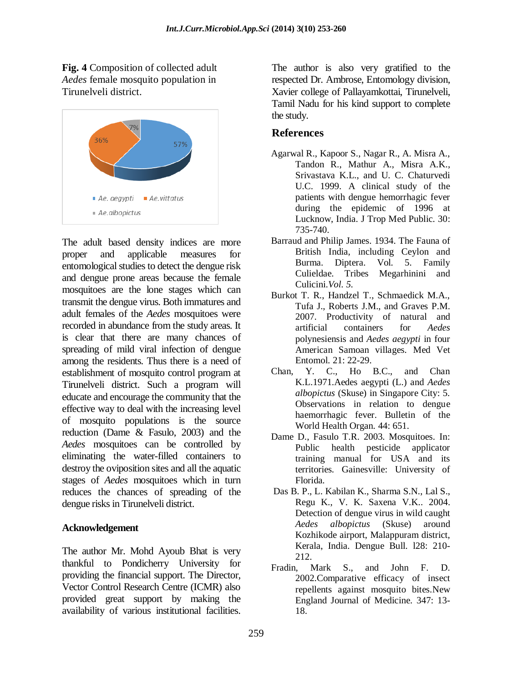**Fig. 4** Composition of collected adult *Aedes* female mosquito population in Tirunelveli district.



The adult based density indices are more proper and applicable measures for entomological studies to detect the dengue risk and dengue prone areas because the female mosquitoes are the lone stages which can transmit the dengue virus. Both immatures and adult females of the *Aedes* mosquitoes were recorded in abundance from the study areas. It is clear that there are many chances of spreading of mild viral infection of dengue among the residents. Thus there is a need of establishment of mosquito control program at Tirunelveli district. Such a program will educate and encourage the community that the effective way to deal with the increasing level of mosquito populations is the source reduction (Dame & Fasulo, 2003) and the *Aedes* mosquitoes can be controlled by eliminating the water-filled containers to destroy the oviposition sites and all the aquatic stages of *Aedes* mosquitoes which in turn reduces the chances of spreading of the dengue risks in Tirunelveli district.

#### **Acknowledgement**

The author Mr. Mohd Ayoub Bhat is very thankful to Pondicherry University for providing the financial support. The Director, Vector Control Research Centre (ICMR) also provided great support by making the availability of various institutional facilities.

The author is also very gratified to the respected Dr. Ambrose, Entomology division, Xavier college of Pallayamkottai, Tirunelveli, Tamil Nadu for his kind support to complete the study.

# **References**

- Agarwal R., Kapoor S., Nagar R., A. Misra A., Tandon R., Mathur A., Misra A.K., Srivastava K.L., and U. C. Chaturvedi U.C. 1999. A clinical study of the patients with dengue hemorrhagic fever during the epidemic of 1996 at Lucknow, India. J Trop Med Public. 30: 735-740.
- Barraud and Philip James. 1934. The Fauna of British India, including Ceylon and Burma. Diptera. Vol. 5. Family Culieldae. Tribes Megarhinini and Culicini.*Vol. 5.*
- Burkot T. R., Handzel T., Schmaedick M.A., Tufa J., Roberts J.M., and Graves P.M. 2007. Productivity of natural and artificial containers for *Aedes*  polynesiensis and *Aedes aegypti* in four American Samoan villages. Med Vet Entomol. 21: 22-29.
- Chan, Y. C., Ho B.C., and Chan K.L.1971.Aedes aegypti (L.) and *Aedes albopictus* (Skuse) in Singapore City: 5. Observations in relation to dengue haemorrhagic fever. Bulletin of the World Health Organ. 44: 651.
- Dame D., Fasulo T.R. 2003. Mosquitoes. In: Public health pesticide applicator training manual for USA and its territories*.* Gainesville: University of Florida*.*
- Das B. P., L. Kabilan K., Sharma S.N., Lal S., Regu K., V. K. Saxena V.K.. 2004. Detection of dengue virus in wild caught *Aedes albopictus* (Skuse) around Kozhikode airport, Malappuram district, Kerala, India. Dengue Bull. l28: 210- 212.
- Fradin, Mark S., and John F. D. 2002.Comparative efficacy of insect repellents against mosquito bites.New England Journal of Medicine. 347: 13- 18.